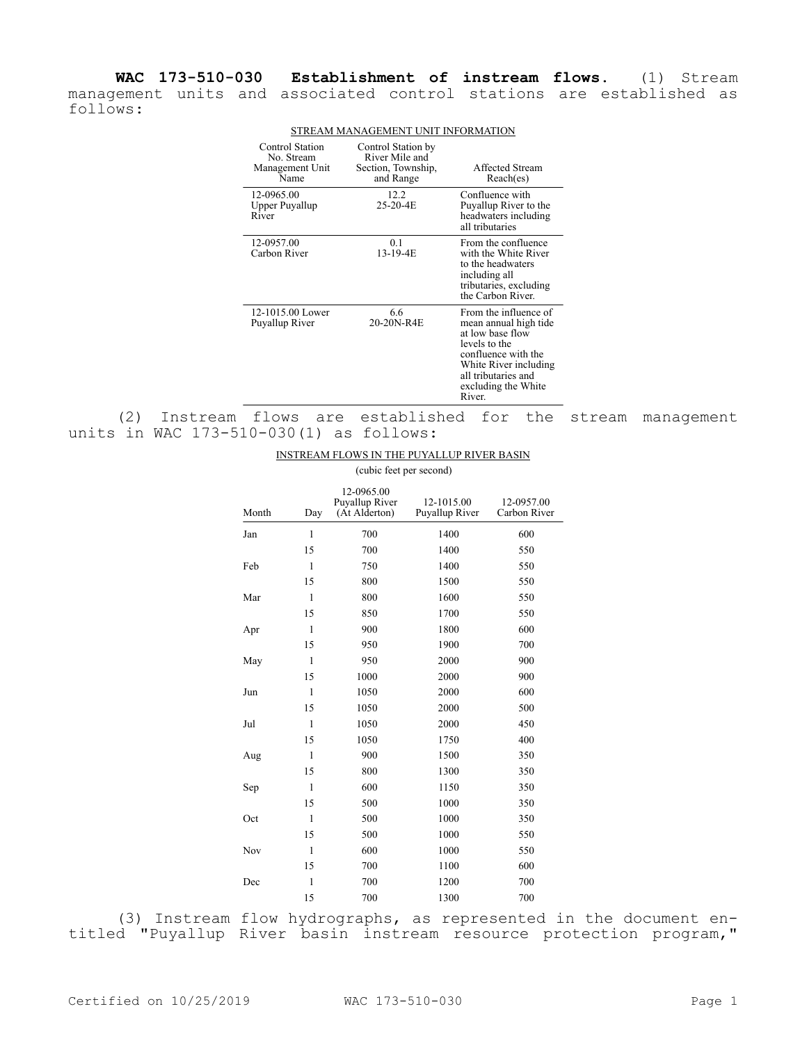**WAC 173-510-030 Establishment of instream flows.** (1) Stream management units and associated control stations are established as follows:

| <b>Control Station</b><br>No. Stream<br>Management Unit<br>Name | Control Station by<br>River Mile and<br>Section, Township,<br>and Range | Affected Stream<br>Reach(es)                                                                                                                                                                |
|-----------------------------------------------------------------|-------------------------------------------------------------------------|---------------------------------------------------------------------------------------------------------------------------------------------------------------------------------------------|
| 12-0965.00<br>Upper Puyallup<br>River                           | 12.2<br>25-20-4E                                                        | Confluence with<br>Puyallup River to the<br>headwaters including<br>all tributaries                                                                                                         |
| 12-0957.00<br>Carbon River                                      | 0.1<br>13-19-4E                                                         | From the confluence<br>with the White River<br>to the headwaters<br>including all<br>tributaries, excluding<br>the Carbon River.                                                            |
| 12-1015.00 Lower<br>Puyallup River                              | 6.6<br>20-20N-R4E                                                       | From the influence of<br>mean annual high tide<br>at low base flow<br>levels to the<br>confluence with the<br>White River including<br>all tributaries and<br>excluding the White<br>River. |

## STREAM MANAGEMENT UNIT INFORMATION

(2) Instream flows are established for the stream management units in WAC 173-510-030(1) as follows:

## INSTREAM FLOWS IN THE PUYALLUP RIVER BASIN (cubic feet per second)

| Month | Day          | 12-0965.00<br>Puyallup River<br>(At Alderton) | 12-1015.00<br>Puyallup River | 12-0957.00<br>Carbon River |
|-------|--------------|-----------------------------------------------|------------------------------|----------------------------|
| Jan   | $\mathbf{1}$ | 700                                           | 1400                         | 600                        |
|       | 15           | 700                                           | 1400                         | 550                        |
| Feb   | $\mathbf{1}$ | 750                                           | 1400                         | 550                        |
|       | 15           | 800                                           | 1500                         | 550                        |
| Mar   | $\mathbf{1}$ | 800                                           | 1600                         | 550                        |
|       | 15           | 850                                           | 1700                         | 550                        |
| Apr   | $\mathbf{1}$ | 900                                           | 1800                         | 600                        |
|       | 15           | 950                                           | 1900                         | 700                        |
| May   | $\mathbf{1}$ | 950                                           | 2000                         | 900                        |
|       | 15           | 1000                                          | 2000                         | 900                        |
| Jun   | $\mathbf{1}$ | 1050                                          | 2000                         | 600                        |
|       | 15           | 1050                                          | 2000                         | 500                        |
| Jul   | $\mathbf{1}$ | 1050                                          | 2000                         | 450                        |
|       | 15           | 1050                                          | 1750                         | 400                        |
| Aug   | $\mathbf{1}$ | 900                                           | 1500                         | 350                        |
|       | 15           | 800                                           | 1300                         | 350                        |
| Sep   | $\mathbf{1}$ | 600                                           | 1150                         | 350                        |
|       | 15           | 500                                           | 1000                         | 350                        |
| Oct   | $\mathbf{1}$ | 500                                           | 1000                         | 350                        |
|       | 15           | 500                                           | 1000                         | 550                        |
| Nov   | $\mathbf{1}$ | 600                                           | 1000                         | 550                        |
|       | 15           | 700                                           | 1100                         | 600                        |
| Dec   | $\mathbf{1}$ | 700                                           | 1200                         | 700                        |
|       | 15           | 700                                           | 1300                         | 700                        |

(3) Instream flow hydrographs, as represented in the document entitled "Puyallup River basin instream resource protection program,"